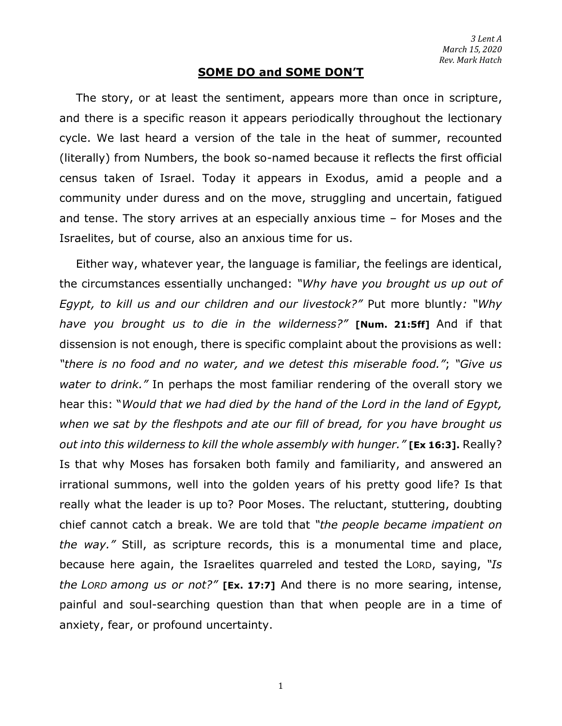## **SOME DO and SOME DON'T**

The story, or at least the sentiment, appears more than once in scripture, and there is a specific reason it appears periodically throughout the lectionary cycle. We last heard a version of the tale in the heat of summer, recounted (literally) from Numbers, the book so-named because it reflects the first official census taken of Israel. Today it appears in Exodus, amid a people and a community under duress and on the move, struggling and uncertain, fatigued and tense. The story arrives at an especially anxious time – for Moses and the Israelites, but of course, also an anxious time for us.

Either way, whatever year, the language is familiar, the feelings are identical, the circumstances essentially unchanged: *"Why have you brought us up out of Egypt, to kill us and our children and our livestock?"* Put more bluntly*: "Why have you brought us to die in the wilderness?"* **[Num. 21:5ff]** And if that dissension is not enough, there is specific complaint about the provisions as well: *"there is no food and no water, and we detest this miserable food."*; *"Give us water to drink."* In perhaps the most familiar rendering of the overall story we hear this: "*Would that we had died by the hand of the Lord in the land of Egypt, when we sat by the fleshpots and ate our fill of bread, for you have brought us out into this wilderness to kill the whole assembly with hunger."* **[Ex 16:3].** Really? Is that why Moses has forsaken both family and familiarity, and answered an irrational summons, well into the golden years of his pretty good life? Is that really what the leader is up to? Poor Moses. The reluctant, stuttering, doubting chief cannot catch a break. We are told that *"the people became impatient on the way."* Still, as scripture records, this is a monumental time and place, because here again, the Israelites quarreled and tested the LORD, saying, *"Is the LORD among us or not?"* **[Ex. 17:7]** And there is no more searing, intense, painful and soul-searching question than that when people are in a time of anxiety, fear, or profound uncertainty.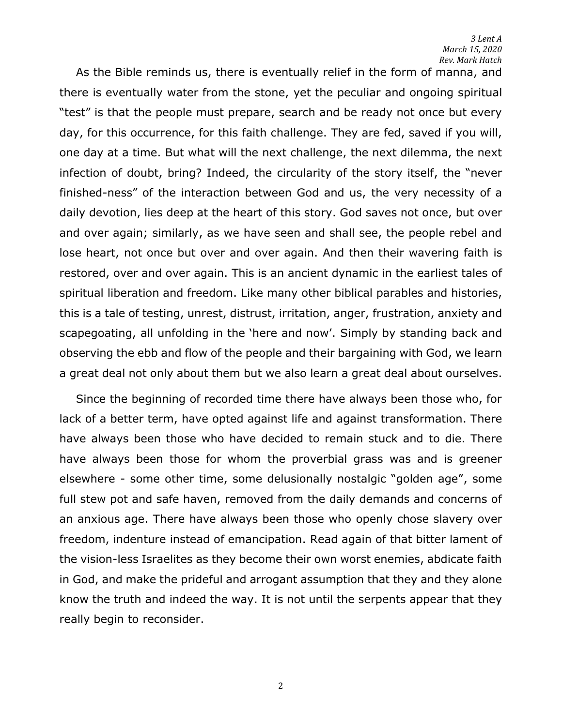As the Bible reminds us, there is eventually relief in the form of manna, and there is eventually water from the stone, yet the peculiar and ongoing spiritual "test" is that the people must prepare, search and be ready not once but every day, for this occurrence, for this faith challenge. They are fed, saved if you will, one day at a time. But what will the next challenge, the next dilemma, the next infection of doubt, bring? Indeed, the circularity of the story itself, the "never finished-ness" of the interaction between God and us, the very necessity of a daily devotion, lies deep at the heart of this story. God saves not once, but over and over again; similarly, as we have seen and shall see, the people rebel and lose heart, not once but over and over again. And then their wavering faith is restored, over and over again. This is an ancient dynamic in the earliest tales of spiritual liberation and freedom. Like many other biblical parables and histories, this is a tale of testing, unrest, distrust, irritation, anger, frustration, anxiety and scapegoating, all unfolding in the 'here and now'. Simply by standing back and observing the ebb and flow of the people and their bargaining with God, we learn a great deal not only about them but we also learn a great deal about ourselves.

Since the beginning of recorded time there have always been those who, for lack of a better term, have opted against life and against transformation. There have always been those who have decided to remain stuck and to die. There have always been those for whom the proverbial grass was and is greener elsewhere - some other time, some delusionally nostalgic "golden age", some full stew pot and safe haven, removed from the daily demands and concerns of an anxious age. There have always been those who openly chose slavery over freedom, indenture instead of emancipation. Read again of that bitter lament of the vision-less Israelites as they become their own worst enemies, abdicate faith in God, and make the prideful and arrogant assumption that they and they alone know the truth and indeed the way. It is not until the serpents appear that they really begin to reconsider.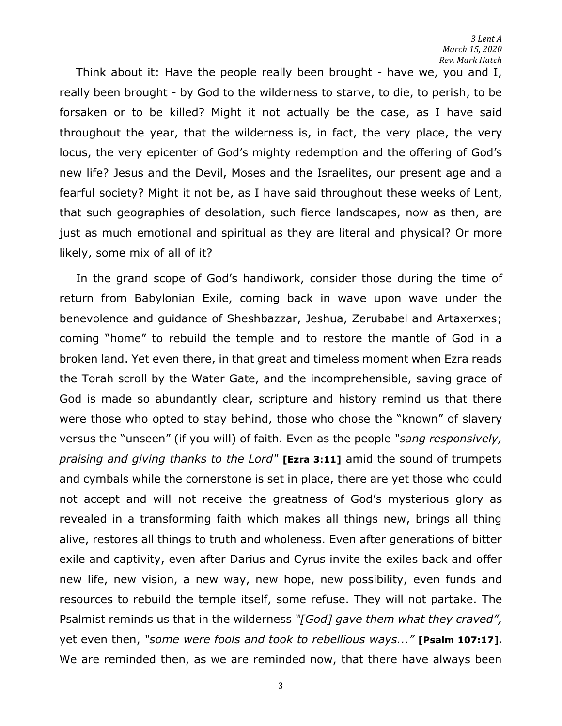Think about it: Have the people really been brought - have we, you and I, really been brought - by God to the wilderness to starve, to die, to perish, to be forsaken or to be killed? Might it not actually be the case, as I have said throughout the year, that the wilderness is, in fact, the very place, the very locus, the very epicenter of God's mighty redemption and the offering of God's new life? Jesus and the Devil, Moses and the Israelites, our present age and a fearful society? Might it not be, as I have said throughout these weeks of Lent, that such geographies of desolation, such fierce landscapes, now as then, are just as much emotional and spiritual as they are literal and physical? Or more likely, some mix of all of it?

In the grand scope of God's handiwork, consider those during the time of return from Babylonian Exile, coming back in wave upon wave under the benevolence and guidance of Sheshbazzar, Jeshua, Zerubabel and Artaxerxes; coming "home" to rebuild the temple and to restore the mantle of God in a broken land. Yet even there, in that great and timeless moment when Ezra reads the Torah scroll by the Water Gate, and the incomprehensible, saving grace of God is made so abundantly clear, scripture and history remind us that there were those who opted to stay behind, those who chose the "known" of slavery versus the "unseen" (if you will) of faith. Even as the people *"sang responsively, praising and giving thanks to the Lord"* **[Ezra 3:11]** amid the sound of trumpets and cymbals while the cornerstone is set in place, there are yet those who could not accept and will not receive the greatness of God's mysterious glory as revealed in a transforming faith which makes all things new, brings all thing alive, restores all things to truth and wholeness. Even after generations of bitter exile and captivity, even after Darius and Cyrus invite the exiles back and offer new life, new vision, a new way, new hope, new possibility, even funds and resources to rebuild the temple itself, some refuse. They will not partake. The Psalmist reminds us that in the wilderness *"[God] gave them what they craved",* yet even then, *"some were fools and took to rebellious ways..."* **[Psalm 107:17].** We are reminded then, as we are reminded now, that there have always been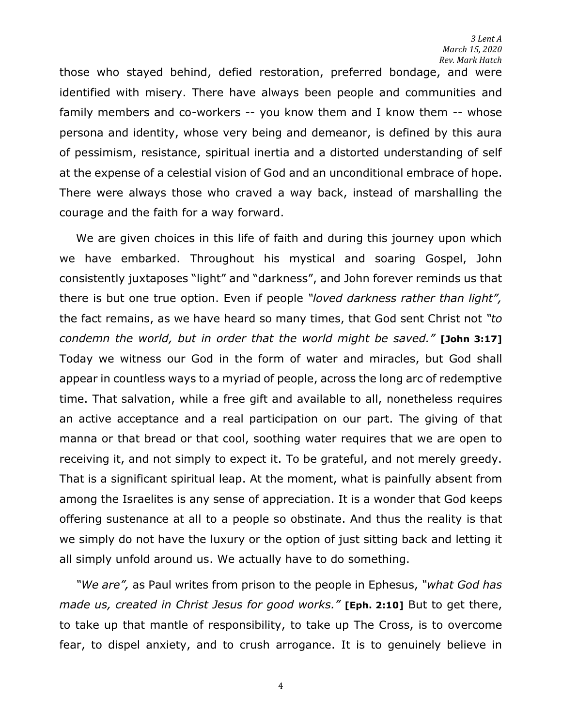those who stayed behind, defied restoration, preferred bondage, and were identified with misery. There have always been people and communities and family members and co-workers -- you know them and I know them -- whose persona and identity, whose very being and demeanor, is defined by this aura of pessimism, resistance, spiritual inertia and a distorted understanding of self at the expense of a celestial vision of God and an unconditional embrace of hope. There were always those who craved a way back, instead of marshalling the courage and the faith for a way forward.

We are given choices in this life of faith and during this journey upon which we have embarked. Throughout his mystical and soaring Gospel, John consistently juxtaposes "light" and "darkness", and John forever reminds us that there is but one true option. Even if people *"loved darkness rather than light",* the fact remains, as we have heard so many times, that God sent Christ not *"to condemn the world, but in order that the world might be saved."* **[John 3:17]** Today we witness our God in the form of water and miracles, but God shall appear in countless ways to a myriad of people, across the long arc of redemptive time. That salvation, while a free gift and available to all, nonetheless requires an active acceptance and a real participation on our part. The giving of that manna or that bread or that cool, soothing water requires that we are open to receiving it, and not simply to expect it. To be grateful, and not merely greedy. That is a significant spiritual leap. At the moment, what is painfully absent from among the Israelites is any sense of appreciation. It is a wonder that God keeps offering sustenance at all to a people so obstinate. And thus the reality is that we simply do not have the luxury or the option of just sitting back and letting it all simply unfold around us. We actually have to do something.

*"We are",* as Paul writes from prison to the people in Ephesus, *"what God has made us, created in Christ Jesus for good works."* **[Eph. 2:10]** But to get there, to take up that mantle of responsibility, to take up The Cross, is to overcome fear, to dispel anxiety, and to crush arrogance. It is to genuinely believe in